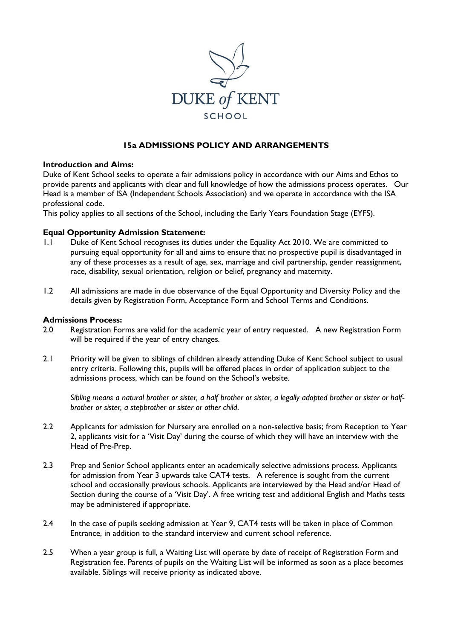

# **15a ADMISSIONS POLICY AND ARRANGEMENTS**

### **Introduction and Aims:**

Duke of Kent School seeks to operate a fair admissions policy in accordance with our Aims and Ethos to provide parents and applicants with clear and full knowledge of how the admissions process operates. Our Head is a member of ISA (Independent Schools Association) and we operate in accordance with the ISA professional code.

This policy applies to all sections of the School, including the Early Years Foundation Stage (EYFS).

### **Equal Opportunity Admission Statement:**

- 1.1 Duke of Kent School recognises its duties under the Equality Act 2010. We are committed to pursuing equal opportunity for all and aims to ensure that no prospective pupil is disadvantaged in any of these processes as a result of age, sex, marriage and civil partnership, gender reassignment, race, disability, sexual orientation, religion or belief, pregnancy and maternity.
- 1.2 All admissions are made in due observance of the Equal Opportunity and Diversity Policy and the details given by Registration Form, Acceptance Form and School Terms and Conditions.

### **Admissions Process:**

- 2.0 Registration Forms are valid for the academic year of entry requested. A new Registration Form will be required if the year of entry changes.
- 2.1 Priority will be given to siblings of children already attending Duke of Kent School subject to usual entry criteria. Following this, pupils will be offered places in order of application subject to the admissions process, which can be found on the School's website.

*Sibling means a natural brother or sister, a half brother or sister, a legally adopted brother or sister or halfbrother or sister, a stepbrother or sister or other child*.

- 2.2 Applicants for admission for Nursery are enrolled on a non-selective basis; from Reception to Year 2, applicants visit for a 'Visit Day' during the course of which they will have an interview with the Head of Pre-Prep.
- 2.3 Prep and Senior School applicants enter an academically selective admissions process. Applicants for admission from Year 3 upwards take CAT4 tests. A reference is sought from the current school and occasionally previous schools. Applicants are interviewed by the Head and/or Head of Section during the course of a 'Visit Day'. A free writing test and additional English and Maths tests may be administered if appropriate.
- 2.4 In the case of pupils seeking admission at Year 9, CAT4 tests will be taken in place of Common Entrance, in addition to the standard interview and current school reference.
- 2.5 When a year group is full, a Waiting List will operate by date of receipt of Registration Form and Registration fee. Parents of pupils on the Waiting List will be informed as soon as a place becomes available. Siblings will receive priority as indicated above.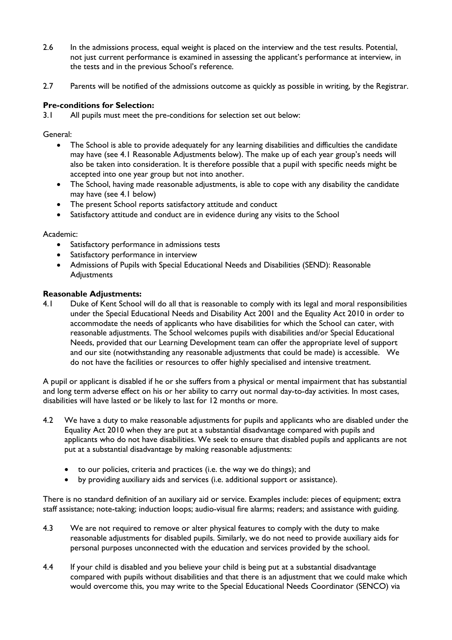- 2.6 In the admissions process, equal weight is placed on the interview and the test results. Potential, not just current performance is examined in assessing the applicant's performance at interview, in the tests and in the previous School's reference.
- 2.7 Parents will be notified of the admissions outcome as quickly as possible in writing, by the Registrar.

## **Pre-conditions for Selection:**

3.1 All pupils must meet the pre-conditions for selection set out below:

General:

- The School is able to provide adequately for any learning disabilities and difficulties the candidate may have (see 4.1 Reasonable Adjustments below). The make up of each year group's needs will also be taken into consideration. It is therefore possible that a pupil with specific needs might be accepted into one year group but not into another.
- The School, having made reasonable adjustments, is able to cope with any disability the candidate may have (see 4.1 below)
- The present School reports satisfactory attitude and conduct
- Satisfactory attitude and conduct are in evidence during any visits to the School

### Academic:

- Satisfactory performance in admissions tests
- Satisfactory performance in interview
- Admissions of Pupils with Special Educational Needs and Disabilities (SEND): Reasonable Adjustments

### **Reasonable Adjustments:**

4.1 Duke of Kent School will do all that is reasonable to comply with its legal and moral responsibilities under the Special Educational Needs and Disability Act 2001 and the Equality Act 2010 in order to accommodate the needs of applicants who have disabilities for which the School can cater, with reasonable adjustments. The School welcomes pupils with disabilities and/or Special Educational Needs, provided that our Learning Development team can offer the appropriate level of support and our site (notwithstanding any reasonable adjustments that could be made) is accessible. We do not have the facilities or resources to offer highly specialised and intensive treatment.

A pupil or applicant is disabled if he or she suffers from a physical or mental impairment that has substantial and long term adverse effect on his or her ability to carry out normal day-to-day activities. In most cases, disabilities will have lasted or be likely to last for 12 months or more.

- 4.2 We have a duty to make reasonable adjustments for pupils and applicants who are disabled under the Equality Act 2010 when they are put at a substantial disadvantage compared with pupils and applicants who do not have disabilities. We seek to ensure that disabled pupils and applicants are not put at a substantial disadvantage by making reasonable adjustments:
	- to our policies, criteria and practices (i.e. the way we do things); and
	- by providing auxiliary aids and services (i.e. additional support or assistance).

There is no standard definition of an auxiliary aid or service. Examples include: pieces of equipment; extra staff assistance; note-taking; induction loops; audio-visual fire alarms; readers; and assistance with guiding.

- 4.3 We are not required to remove or alter physical features to comply with the duty to make reasonable adjustments for disabled pupils. Similarly, we do not need to provide auxiliary aids for personal purposes unconnected with the education and services provided by the school.
- 4.4 If your child is disabled and you believe your child is being put at a substantial disadvantage compared with pupils without disabilities and that there is an adjustment that we could make which would overcome this, you may write to the Special Educational Needs Coordinator (SENCO) via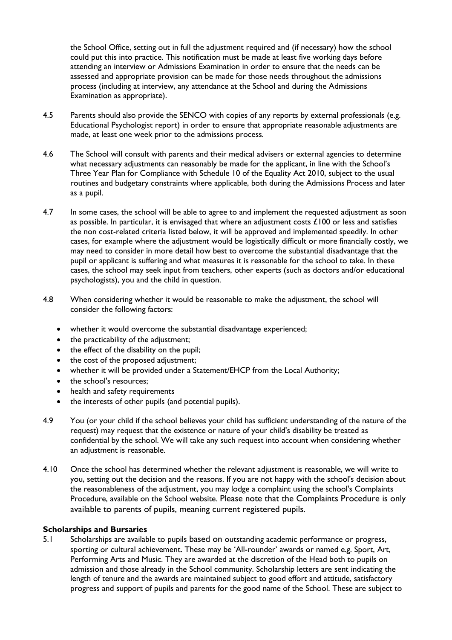the School Office, setting out in full the adjustment required and (if necessary) how the school could put this into practice. This notification must be made at least five working days before attending an interview or Admissions Examination in order to ensure that the needs can be assessed and appropriate provision can be made for those needs throughout the admissions process (including at interview, any attendance at the School and during the Admissions Examination as appropriate).

- 4.5 Parents should also provide the SENCO with copies of any reports by external professionals (e.g. Educational Psychologist report) in order to ensure that appropriate reasonable adjustments are made, at least one week prior to the admissions process.
- 4.6 The School will consult with parents and their medical advisers or external agencies to determine what necessary adjustments can reasonably be made for the applicant, in line with the School's Three Year Plan for Compliance with Schedule 10 of the Equality Act 2010, subject to the usual routines and budgetary constraints where applicable, both during the Admissions Process and later as a pupil.
- 4.7 In some cases, the school will be able to agree to and implement the requested adjustment as soon as possible. In particular, it is envisaged that where an adjustment costs  $\pounds$ 100 or less and satisfies the non cost-related criteria listed below, it will be approved and implemented speedily. In other cases, for example where the adjustment would be logistically difficult or more financially costly, we may need to consider in more detail how best to overcome the substantial disadvantage that the pupil or applicant is suffering and what measures it is reasonable for the school to take. In these cases, the school may seek input from teachers, other experts (such as doctors and/or educational psychologists), you and the child in question.
- 4.8 When considering whether it would be reasonable to make the adjustment, the school will consider the following factors:
	- whether it would overcome the substantial disadvantage experienced;
	- the practicability of the adjustment;
	- the effect of the disability on the pupil;
	- the cost of the proposed adjustment;
	- whether it will be provided under a Statement/EHCP from the Local Authority;
	- the school's resources:
	- health and safety requirements
	- the interests of other pupils (and potential pupils).
- 4.9 You (or your child if the school believes your child has sufficient understanding of the nature of the request) may request that the existence or nature of your child's disability be treated as confidential by the school. We will take any such request into account when considering whether an adjustment is reasonable.
- 4.10 Once the school has determined whether the relevant adjustment is reasonable, we will write to you, setting out the decision and the reasons. If you are not happy with the school's decision about the reasonableness of the adjustment, you may lodge a complaint using the school's Complaints Procedure, available on the School website. Please note that the Complaints Procedure is only available to parents of pupils, meaning current registered pupils.

### **Scholarships and Bursaries**

5.1 Scholarships are available to pupils based on outstanding academic performance or progress, sporting or cultural achievement. These may be 'All-rounder' awards or named e.g. Sport, Art, Performing Arts and Music. They are awarded at the discretion of the Head both to pupils on admission and those already in the School community. Scholarship letters are sent indicating the length of tenure and the awards are maintained subject to good effort and attitude, satisfactory progress and support of pupils and parents for the good name of the School. These are subject to